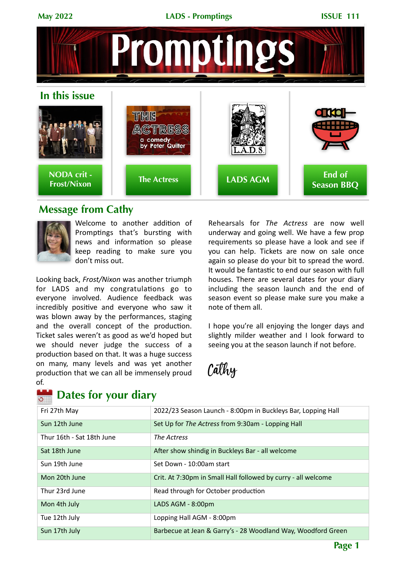**May 2022 LADS - Promptings ISSUE 111** OC **In this issue** THE ACTRES! a comedy<br>by Peter Quilter **NODA crit - End of Frost/Nixon The Actress LADS AGM Season BBQ**

# **Message from Cathy**



Welcome to another addition of Promptings that's bursting with news and information so please keep reading to make sure you don't miss out.

Looking back, Frost/Nixon was another triumph for LADS and my congratulations go to everyone involved. Audience feedback was incredibly positive and everyone who saw it was blown away by the performances, staging and the overall concept of the production. Ticket sales weren't as good as we'd hoped but we should never judge the success of a production based on that. It was a huge success on many, many levels and was yet another production that we can all be immensely proud of.

#### **Dates for your diary** $\overline{\circ}$

Rehearsals for *The Actress* are now well underway and going well. We have a few prop requirements so please have a look and see if you can help. Tickets are now on sale once again so please do your bit to spread the word. It would be fantastic to end our season with full houses. There are several dates for your diary including the season launch and the end of season event so please make sure you make a note of them all.

I hope you're all enjoying the longer days and slightly milder weather and I look forward to seeing you at the season launch if not before.

Cathy

| Fri 27th May              | 2022/23 Season Launch - 8:00pm in Buckleys Bar, Lopping Hall  |
|---------------------------|---------------------------------------------------------------|
| Sun 12th June             | Set Up for The Actress from 9:30am - Lopping Hall             |
| Thur 16th - Sat 18th June | The Actress                                                   |
| Sat 18th June             | After show shindig in Buckleys Bar - all welcome              |
| Sun 19th June             | Set Down - 10:00am start                                      |
| Mon 20th June             | Crit. At 7:30pm in Small Hall followed by curry - all welcome |
| Thur 23rd June            | Read through for October production                           |
| Mon 4th July              | LADS AGM - 8:00pm                                             |
| Tue 12th July             | Lopping Hall AGM - 8:00pm                                     |
| Sun 17th July             | Barbecue at Jean & Garry's - 28 Woodland Way, Woodford Green  |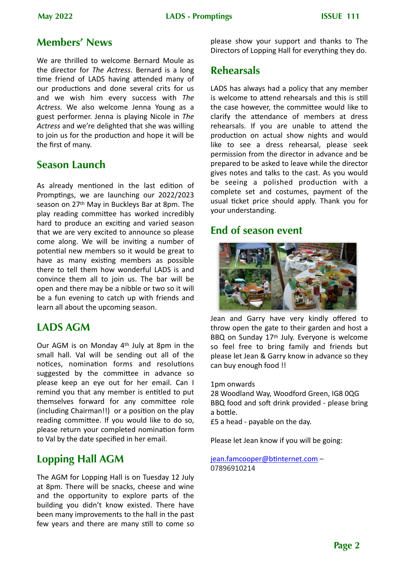## **Members' News**

We are thrilled to welcome Bernard Moule as the director for *The Actress*. Bernard is a long time friend of LADS having attended many of our productions and done several crits for us and we wish him every success with The Actress. We also welcome Jenna Young as a guest performer. Jenna is playing Nicole in *The* Actress and we're delighted that she was willing to join us for the production and hope it will be the first of many.

## **Season Launch**

As already mentioned in the last edition of Promptings, we are launching our 2022/2023 season on 27<sup>th</sup> May in Buckleys Bar at 8pm. The play reading committee has worked incredibly hard to produce an exciting and varied season that we are very excited to announce so please come along. We will be inviting a number of potential new members so it would be great to have as many existing members as possible there to tell them how wonderful LADS is and convince them all to join us. The bar will be open and there may be a nibble or two so it will be a fun evening to catch up with friends and learn all about the upcoming season.

## **LADS AGM**

Our AGM is on Monday  $4<sup>th</sup>$  July at 8pm in the small hall. Val will be sending out all of the notices, nomination forms and resolutions suggested by the committee in advance so please keep an eye out for her email. Can I remind you that any member is entitled to put themselves forward for any committee role (including Chairman!!) or a position on the play reading committee. If you would like to do so, please return your completed nomination form to Val by the date specified in her email.

# **Lopping Hall AGM**

The AGM for Lopping Hall is on Tuesday 12 July at 8pm. There will be snacks, cheese and wine and the opportunity to explore parts of the building you didn't know existed. There have been many improvements to the hall in the past few years and there are many still to come so

please show your support and thanks to The Directors of Lopping Hall for everything they do.

# **Rehearsals**

LADS has always had a policy that any member is welcome to attend rehearsals and this is still the case however, the committee would like to clarify the attendance of members at dress rehearsals. If you are unable to attend the production on actual show nights and would like to see a dress rehearsal, please seek permission from the director in advance and be prepared to be asked to leave while the director gives notes and talks to the cast. As you would be seeing a polished production with a complete set and costumes, payment of the usual ticket price should apply. Thank you for your understanding.

## **End of season event**



Jean and Garry have very kindly offered to throw open the gate to their garden and host a BBQ on Sunday 17<sup>th</sup> July. Everyone is welcome so feel free to bring family and friends but please let Jean & Garry know in advance so they can buy enough food !!

1pm onwards

28 Woodland Way, Woodford Green, IG8 0QG BBQ food and soft drink provided - please bring a bottle.

£5 a head - payable on the day.

Please let Jean know if you will be going:

### jean.famcooper@btinternet.com -07896910214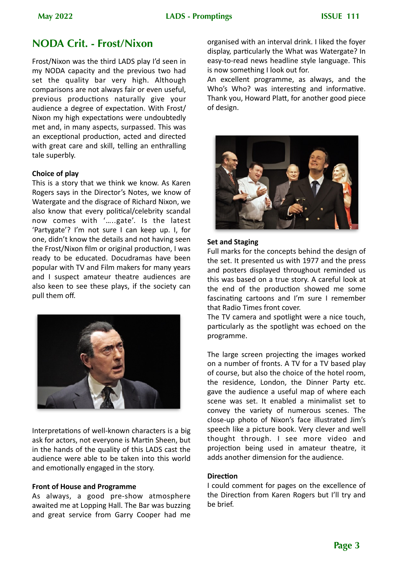# **NODA Crit. - Frost/Nixon**

Frost/Nixon was the third LADS play I'd seen in my NODA capacity and the previous two had set the quality bar very high. Although comparisons are not always fair or even useful, previous productions naturally give your audience a degree of expectation. With Frost/ Nixon my high expectations were undoubtedly met and, in many aspects, surpassed. This was an exceptional production, acted and directed with great care and skill, telling an enthralling tale superbly.

### **Choice of play**

This is a story that we think we know. As Karen Rogers says in the Director's Notes, we know of Watergate and the disgrace of Richard Nixon, we also know that every political/celebrity scandal now comes with '.....gate'. Is the latest 'Partygate'? I'm not sure I can keep up. I, for one, didn't know the details and not having seen the Frost/Nixon film or original production, I was ready to be educated. Docudramas have been popular with TV and Film makers for many years and I suspect amateur theatre audiences are also keen to see these plays, if the society can pull them off.



Interpretations of well-known characters is a big ask for actors, not everyone is Martin Sheen, but in the hands of the quality of this LADS cast the audience were able to be taken into this world and emotionally engaged in the story.

#### **Front of House and Programme**

As always, a good pre-show atmosphere awaited me at Lopping Hall. The Bar was buzzing and great service from Garry Cooper had me organised with an interval drink. I liked the foyer display, particularly the What was Watergate? In easy-to-read news headline style language. This is now something I look out for.

An excellent programme, as always, and the Who's Who? was interesting and informative. Thank you, Howard Platt, for another good piece of design.



#### **Set and Staging**

Full marks for the concepts behind the design of the set. It presented us with 1977 and the press and posters displayed throughout reminded us this was based on a true story. A careful look at the end of the production showed me some fascinating cartoons and I'm sure I remember that Radio Times front cover.

The TV camera and spotlight were a nice touch, particularly as the spotlight was echoed on the programme. 

The large screen projecting the images worked on a number of fronts. A TV for a TV based play of course, but also the choice of the hotel room, the residence, London, the Dinner Party etc. gave the audience a useful map of where each scene was set. It enabled a minimalist set to convey the variety of numerous scenes. The close-up photo of Nixon's face illustrated Jim's speech like a picture book. Very clever and well thought through. I see more video and projection being used in amateur theatre, it adds another dimension for the audience.

### **Direction**

I could comment for pages on the excellence of the Direction from Karen Rogers but I'll try and be brief.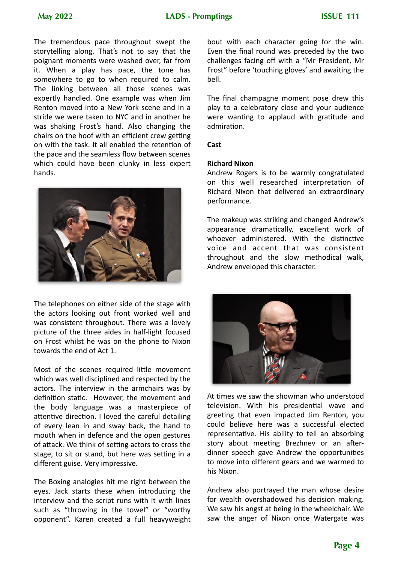The tremendous pace throughout swept the storytelling along. That's not to say that the poignant moments were washed over, far from it. When a play has pace, the tone has somewhere to go to when required to calm. The linking between all those scenes was expertly handled. One example was when Jim Renton moved into a New York scene and in a stride we were taken to NYC and in another he was shaking Frost's hand. Also changing the chairs on the hoof with an efficient crew getting on with the task. It all enabled the retention of the pace and the seamless flow between scenes which could have been clunky in less expert hands.



The telephones on either side of the stage with the actors looking out front worked well and was consistent throughout. There was a lovely picture of the three aides in half-light focused on Frost whilst he was on the phone to Nixon towards the end of Act 1.

Most of the scenes required little movement which was well disciplined and respected by the actors. The interview in the armchairs was by definition static. However, the movement and the body language was a masterpiece of attentive direction. I loved the careful detailing of every lean in and sway back, the hand to mouth when in defence and the open gestures of attack. We think of setting actors to cross the stage, to sit or stand, but here was setting in a different guise. Very impressive.

The Boxing analogies hit me right between the eyes. Jack starts these when introducing the interview and the script runs with it with lines such as "throwing in the towel" or "worthy opponent". Karen created a full heavyweight bout with each character going for the win. Even the final round was preceded by the two challenges facing off with a "Mr President, Mr Frost" before 'touching gloves' and awaiting the bell.

The final champagne moment pose drew this play to a celebratory close and your audience were wanting to applaud with gratitude and admiration.

#### **Cast**

#### **Richard Nixon**

Andrew Rogers is to be warmly congratulated on this well researched interpretation of Richard Nixon that delivered an extraordinary performance.

The makeup was striking and changed Andrew's appearance dramatically, excellent work of whoever administered. With the distinctive voice and accent that was consistent throughout and the slow methodical walk, Andrew enveloped this character.



At times we saw the showman who understood television. With his presidential wave and greeting that even impacted Jim Renton, you could believe here was a successful elected representative. His ability to tell an absorbing story about meeting Brezhnev or an afterdinner speech gave Andrew the opportunities to move into different gears and we warmed to his Nixon.

Andrew also portrayed the man whose desire for wealth overshadowed his decision making. We saw his angst at being in the wheelchair. We saw the anger of Nixon once Watergate was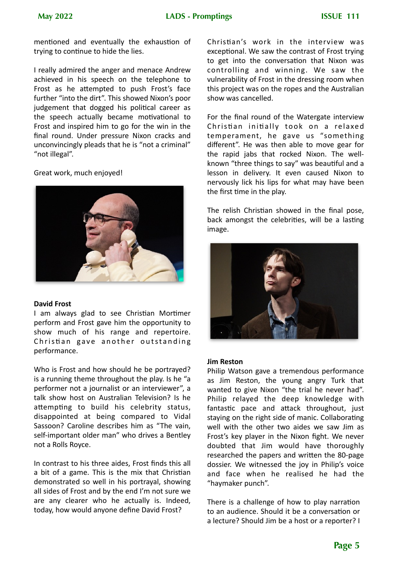mentioned and eventually the exhaustion of trying to continue to hide the lies.

I really admired the anger and menace Andrew achieved in his speech on the telephone to Frost as he attempted to push Frost's face further "into the dirt". This showed Nixon's poor judgement that dogged his political career as the speech actually became motivational to Frost and inspired him to go for the win in the final round. Under pressure Nixon cracks and unconvincingly pleads that he is "not a criminal" "not illegal".

Great work, much enjoyed!



#### **David Frost**

I am always glad to see Christian Mortimer perform and Frost gave him the opportunity to show much of his range and repertoire. Christian gave another outstanding performance. 

Who is Frost and how should he be portrayed? is a running theme throughout the play. Is he "a performer not a journalist or an interviewer", a talk show host on Australian Television? Is he attempting to build his celebrity status, disappointed at being compared to Vidal Sassoon? Caroline describes him as "The vain, self-important older man" who drives a Bentley not a Rolls Royce.

In contrast to his three aides, Frost finds this all a bit of a game. This is the mix that Christian demonstrated so well in his portrayal, showing all sides of Frost and by the end I'm not sure we are any clearer who he actually is. Indeed, today, how would anyone define David Frost?

Christian's work in the interview was exceptional. We saw the contrast of Frost trying to get into the conversation that Nixon was controlling and winning. We saw the vulnerability of Frost in the dressing room when this project was on the ropes and the Australian show was cancelled.

For the final round of the Watergate interview Christian initially took on a relaxed temperament, he gave us "something different". He was then able to move gear for the rapid jabs that rocked Nixon. The wellknown "three things to say" was beautiful and a lesson in delivery. It even caused Nixon to nervously lick his lips for what may have been the first time in the play.

The relish Christian showed in the final pose, back amongst the celebrities, will be a lasting image.



#### **Jim Reston**

Philip Watson gave a tremendous performance as Jim Reston, the young angry Turk that wanted to give Nixon "the trial he never had". Philip relayed the deep knowledge with fantastic pace and attack throughout, just staying on the right side of manic. Collaborating well with the other two aides we saw Jim as Frost's key player in the Nixon fight. We never doubted that Jim would have thoroughly researched the papers and written the 80-page dossier. We witnessed the joy in Philip's voice and face when he realised he had the "haymaker punch".

There is a challenge of how to play narration to an audience. Should it be a conversation or a lecture? Should Jim be a host or a reporter? I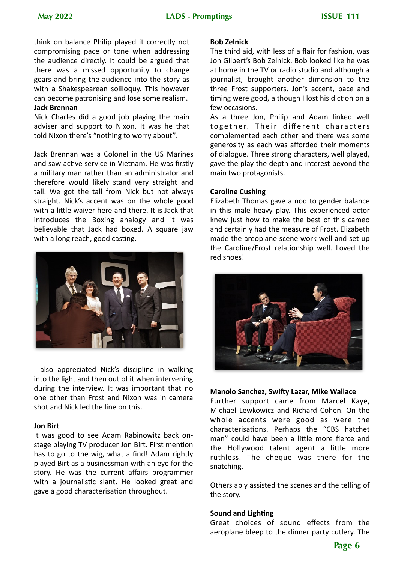think on balance Philip played it correctly not compromising pace or tone when addressing the audience directly. It could be argued that there was a missed opportunity to change gears and bring the audience into the story as with a Shakespearean soliloquy. This however can become patronising and lose some realism.

#### **Jack Brennan**

Nick Charles did a good job playing the main adviser and support to Nixon. It was he that told Nixon there's "nothing to worry about".

Jack Brennan was a Colonel in the US Marines and saw active service in Vietnam. He was firstly a military man rather than an administrator and therefore would likely stand very straight and tall. We got the tall from Nick but not always straight. Nick's accent was on the whole good with a little waiver here and there. It is Jack that introduces the Boxing analogy and it was believable that Jack had boxed. A square jaw with a long reach, good casting.



I also appreciated Nick's discipline in walking into the light and then out of it when intervening during the interview. It was important that no one other than Frost and Nixon was in camera shot and Nick led the line on this.

#### **Jon Birt**

It was good to see Adam Rabinowitz back onstage playing TV producer Jon Birt. First mention has to go to the wig, what a find! Adam rightly played Birt as a businessman with an eye for the story. He was the current affairs programmer with a journalistic slant. He looked great and gave a good characterisation throughout.

#### **Bob Zelnick**

The third aid, with less of a flair for fashion, was Jon Gilbert's Bob Zelnick. Bob looked like he was at home in the TV or radio studio and although a journalist, brought another dimension to the three Frost supporters. Jon's accent, pace and timing were good, although I lost his diction on a few occasions. 

As a three Jon, Philip and Adam linked well together. Their different characters complemented each other and there was some generosity as each was afforded their moments of dialogue. Three strong characters, well played, gave the play the depth and interest beyond the main two protagonists.

#### **Caroline Cushing**

Elizabeth Thomas gave a nod to gender balance in this male heavy play. This experienced actor knew just how to make the best of this cameo and certainly had the measure of Frost. Elizabeth made the areoplane scene work well and set up the Caroline/Frost relationship well. Loved the red shoes!



#### **Manolo Sanchez, Swifty Lazar, Mike Wallace**

Further support came from Marcel Kaye, Michael Lewkowicz and Richard Cohen. On the whole accents were good as were the characterisations. Perhaps the "CBS hatchet man" could have been a little more fierce and the Hollywood talent agent a little more ruthless. The cheque was there for the snatching.

Others ably assisted the scenes and the telling of the story.

#### **Sound and Lighting**

Great choices of sound effects from the aeroplane bleep to the dinner party cutlery. The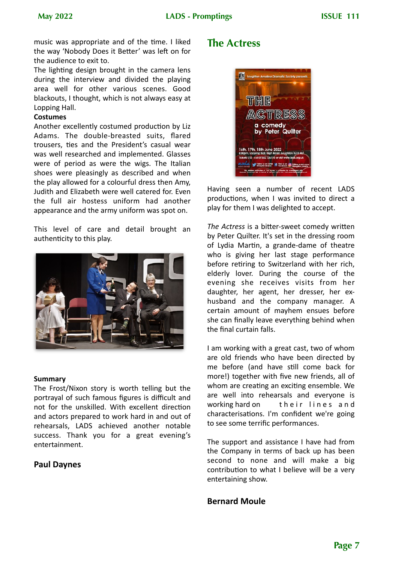music was appropriate and of the time. I liked the way 'Nobody Does it Better' was left on for the audience to exit to.

The lighting design brought in the camera lens during the interview and divided the playing area well for other various scenes. Good blackouts, I thought, which is not always easy at Lopping Hall.

#### **Costumes**

Another excellently costumed production by Liz Adams. The double-breasted suits, flared trousers, ties and the President's casual wear was well researched and implemented. Glasses were of period as were the wigs. The Italian shoes were pleasingly as described and when the play allowed for a colourful dress then Amy, Judith and Elizabeth were well catered for. Even the full air hostess uniform had another appearance and the army uniform was spot on.

This level of care and detail brought an authenticity to this play.



#### **Summary**

The Frost/Nixon story is worth telling but the portrayal of such famous figures is difficult and not for the unskilled. With excellent direction and actors prepared to work hard in and out of rehearsals, LADS achieved another notable success. Thank you for a great evening's entertainment.

### **Paul Daynes**

### **The Actress**



Having seen a number of recent LADS productions, when I was invited to direct a play for them I was delighted to accept.

*The Actress* is a bitter-sweet comedy written by Peter Quilter. It's set in the dressing room of Lydia Martin, a grande-dame of theatre who is giving her last stage performance before retiring to Switzerland with her rich, elderly lover. During the course of the evening she receives visits from her daughter, her agent, her dresser, her exhusband and the company manager. A certain amount of mayhem ensues before she can finally leave everything behind when the final curtain falls.

I am working with a great cast, two of whom are old friends who have been directed by me before (and have still come back for more!) together with five new friends, all of whom are creating an exciting ensemble. We are well into rehearsals and everyone is working hard on their lines and characterisations. I'm confident we're going to see some terrific performances.

The support and assistance I have had from the Company in terms of back up has been second to none and will make a big contribution to what I believe will be a very entertaining show.

### **Bernard Moule**